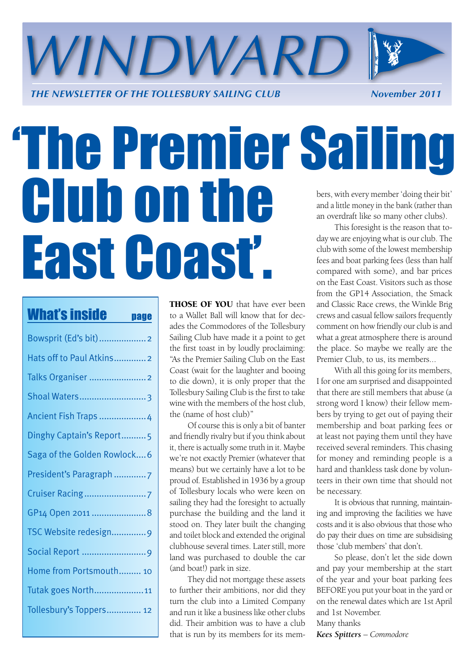

### 'The Premier Sailing Club on the East Coast'. bers, with every member 'doing their bit' and a little money in the bank (rather than an overdraft like so many other clubs). This foresight is the reason that today we are enjoying what is our club. The club with some of the lowest membership fees and boat parking fees (less than half compared with some), and bar prices

| <b>What's inside</b><br>page |
|------------------------------|
| Bowsprit (Ed's bit)2         |
| Hats off to Paul Atkins2     |
| Talks Organiser  2           |
| Shoal Waters3                |
| Ancient Fish Traps  4        |
| Dinghy Captain's Report5     |
| Saga of the Golden Rowlock6  |
| President's Paragraph 7      |
|                              |
| GP14 Open 2011  8            |
| TSC Website redesign9        |
|                              |
| Home from Portsmouth 10      |
| Tutak goes North11           |
| Tollesbury's Toppers 12      |

THOSE OF YOU that have ever been to a Wallet Ball will know that for decades the Commodores of the Tollesbury Sailing Club have made it a point to get the first toast in by loudly proclaiming: "As the Premier Sailing Club on the East Coast (wait for the laughter and booing to die down), it is only proper that the Tollesbury Sailing Club is the first to take wine with the members of the host club, the (name of host club)"

Of course this is only a bit of banter and friendly rivalry but if you think about it, there is actually some truth in it. Maybe we're not exactly Premier (whatever that means) but we certainly have a lot to be proud of. Established in 1936 by a group of Tollesbury locals who were keen on sailing they had the foresight to actually purchase the building and the land it stood on. They later built the changing and toilet block and extended the original clubhouse several times. Later still, more land was purchased to double the car (and boat!) park in size.

They did not mortgage these assets to further their ambitions, nor did they turn the club into a Limited Company and run it like a business like other clubs did. Their ambition was to have a club that is run by its members for its memon the East Coast. Visitors such as those from the GP14 Association, the Smack and Classic Race crews, the Winkle Brig crews and casual fellow sailors frequently comment on how friendly our club is and what a great atmosphere there is around the place. So maybe we really are the Premier Club, to us, its members...

With all this going for its members, I for one am surprised and disappointed that there are still members that abuse (a strong word I know) their fellow members by trying to get out of paying their membership and boat parking fees or at least not paying them until they have received several reminders. This chasing for money and reminding people is a hard and thankless task done by volunteers in their own time that should not be necessary.

It is obvious that running, maintaining and improving the facilities we have costs and it is also obvious that those who do pay their dues on time are subsidising those 'club members' that don't.

So please, don't let the side down and pay your membership at the start of the year and your boat parking fees BEFORE you put your boat in the yard or on the renewal dates which are 1st April and 1st November.

Many thanks

*Kees Spitters – Commodore*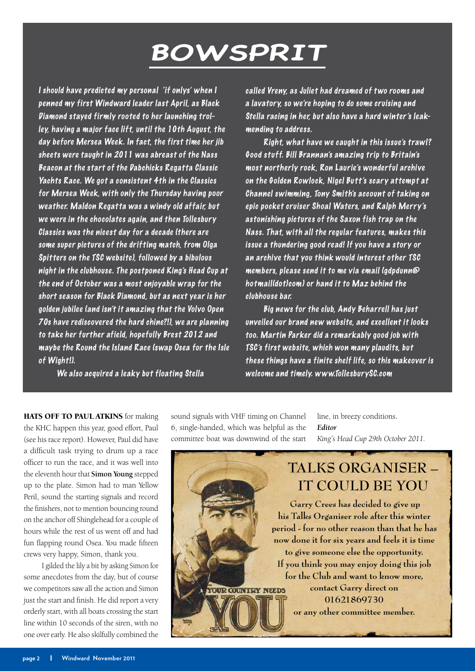### **BOWSPRIT**

<span id="page-1-0"></span>I should have predicted my personal 'if onlys' when I penned my first Windward leader last April, as Black Diamond stayed firmly rooted to her launching trolley, having a major face lift, until the 10th August, the day before Mersea Week. In fact, the first time her jib sheets were taught in 2011 was abreast of the Nass Beacon at the start of the Dabchicks Regatta Classic Yachts Race. We got a consistent 4th in the Classics for Mersea Week, with only the Thursday having poor weather. Maldon Regatta was a windy old affair, but we were in the chocolates again, and then Tollesbury Classics was the nicest day for a decade (there are some super pictures of the drifting match, from Olga Spitters on the TSC website), followed by a bibulous night in the clubhouse. The postponed King's Head Cup at the end of October was a most enjoyable wrap for the short season for Black Diamond, but as next year is her golden jubilee (and isn't it amazing that the Volvo Open 70s have rediscovered the hard chine?!), we are planning to take her further afield, hopefully Brest 2012 and maybe the Round the Island Race (swap Osea for the Isle of Wight!).

We also acquired a leaky but floating Stella

called Vreny, as Juliet had dreamed of two rooms and a lavatory, so we're hoping to do some cruising and Stella racing in her, but also have a hard winter's leakmending to address.

Right, what have we caught in this issue's trawl? Good stuff. Bill Brannan's amazing trip to Britain's most northerly rock, Ron Laurie's wonderful archive on the Golden Rowlock, Nigel Butt's scary attempt at Channel swimming, Tony Smith's account of taking on epic pocket cruiser Shoal Waters, and Ralph Merry's astonishing pictures of the Saxon fish trap on the Nass. That, with all the regular features, makes this issue a thundering good read! If you have a story or an archive that you think would interest other TSC members, please send it to me via email (gdpdunn@ hotmail(dot)com) or hand it to Maz behind the clubhouse bar.

Big news for the club, Andy Beharrell has just unveiled our brand new website, and excellent it looks too. Martin Parker did a remarkably good job with TSC's first website, which won many plaudits, but these things have a finite shelf life, so this makeover is welcome and timely. www.TollesburySC.com

HATS OFF TO PAUL ATKINS for making the KHC happen this year, good effort, Paul (see his race report). However, Paul did have a difficult task trying to drum up a race officer to run the race, and it was well into the eleventh hour that **Simon Young** stepped up to the plate. Simon had to man Yellow Peril, sound the starting signals and record the finishers, not to mention bouncing round on the anchor off Shinglehead for a couple of hours while the rest of us went off and had fun flapping round Osea. You made fifteen crews very happy, Simon, thank you.

I gilded the lily a bit by asking Simon for some anecdotes from the day, but of course we competitors saw all the action and Simon just the start and finish. He did report a very orderly start, with all boats crossing the start line within 10 seconds of the siren, with no one over early. He also skilfully combined the

sound signals with VHF timing on Channel 6, single-handed, which was helpful as the committee boat was downwind of the start

line, in breezy conditions. *Editor King's Head Cup 29th October 2011.*



**period - for no other reason than that he has now done it for six years and feels it is time to give someone else the opportunity. If you think you may enjoy doing this job for the Club and want to know more, contact Garry direct on YOUR COUNTRY NEEDS 01621869730 or any other committee member.**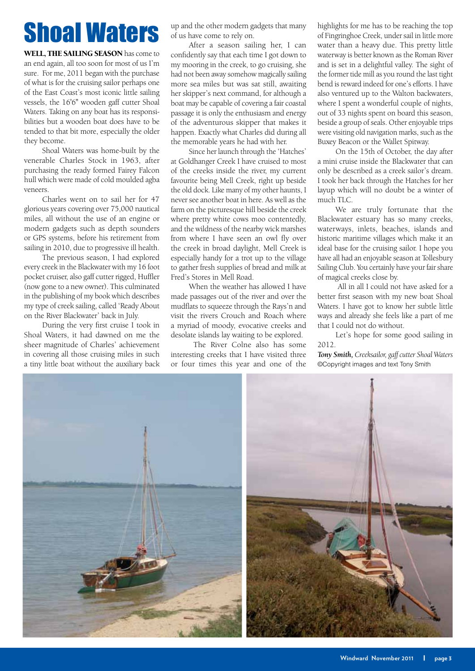## <span id="page-2-0"></span>Shoal Waters

WELL, THE SAILING SEASON has come to an end again, all too soon for most of us I'm sure. For me, 2011 began with the purchase of what is for the cruising sailor perhaps one of the East Coast's most iconic little sailing vessels, the 16'6" wooden gaff cutter Shoal Waters. Taking on any boat has its responsibilities but a wooden boat does have to be tended to that bit more, especially the older they become.

Shoal Waters was home-built by the venerable Charles Stock in 1963, after purchasing the ready formed Fairey Falcon hull which were made of cold moulded agba veneers.

Charles went on to sail her for 47 glorious years covering over 75,000 nautical miles, all without the use of an engine or modern gadgets such as depth sounders or GPS systems, before his retirement from sailing in 2010, due to progressive ill health.

The previous season, I had explored every creek in the Blackwater with my 16 foot pocket cruiser, also gaff cutter rigged, Huffler (now gone to a new owner). This culminated in the publishing of my book which describes my type of creek sailing, called 'Ready About on the River Blackwater' back in July.

During the very first cruise I took in Shoal Waters, it had dawned on me the sheer magnitude of Charles' achievement in covering all those cruising miles in such a tiny little boat without the auxiliary back up and the other modern gadgets that many of us have come to rely on.

After a season sailing her, I can confidently say that each time I got down to my mooring in the creek, to go cruising, she had not been away somehow magically sailing more sea miles but was sat still, awaiting her skipper's next command, for although a boat may be capable of covering a fair coastal passage it is only the enthusiasm and energy of the adventurous skipper that makes it happen. Exactly what Charles did during all the memorable years he had with her.

Since her launch through the 'Hatches' at Goldhanger Creek I have cruised to most of the creeks inside the river, my current favourite being Mell Creek, right up beside the old dock. Like many of my other haunts, I never see another boat in here. As well as the farm on the picturesque hill beside the creek where pretty white cows moo contentedly, and the wildness of the nearby wick marshes from where I have seen an owl fly over the creek in broad daylight, Mell Creek is especially handy for a trot up to the village to gather fresh supplies of bread and milk at Fred's Stores in Mell Road.

When the weather has allowed I have made passages out of the river and over the mudflats to squeeze through the Rays'n and visit the rivers Crouch and Roach where a myriad of moody, evocative creeks and desolate islands lay waiting to be explored.

 The River Colne also has some interesting creeks that I have visited three or four times this year and one of the highlights for me has to be reaching the top of Fingringhoe Creek, under sail in little more water than a heavy due. This pretty little waterway is better known as the Roman River and is set in a delightful valley. The sight of the former tide mill as you round the last tight bend is reward indeed for one's efforts. I have also ventured up to the Walton backwaters, where I spent a wonderful couple of nights, out of 33 nights spent on board this season, beside a group of seals. Other enjoyable trips were visiting old navigation marks, such as the Buxey Beacon or the Wallet Spitway.

On the 15th of October, the day after a mini cruise inside the Blackwater that can only be described as a creek sailor's dream. I took her back through the Hatches for her layup which will no doubt be a winter of much  $TIC$ .

We are truly fortunate that the Blackwater estuary has so many creeks, waterways, inlets, beaches, islands and historic maritime villages which make it an ideal base for the cruising sailor. I hope you have all had an enjoyable season at Tollesbury Sailing Club. You certainly have your fair share of magical creeks close by.

 All in all I could not have asked for a better first season with my new boat Shoal Waters. I have got to know her subtle little ways and already she feels like a part of me that I could not do without.

Let's hope for some good sailing in 2012.

*Tony Smith, Creeksailor, gaff cutter Shoal Waters* ©Copyright images and text Tony Smith

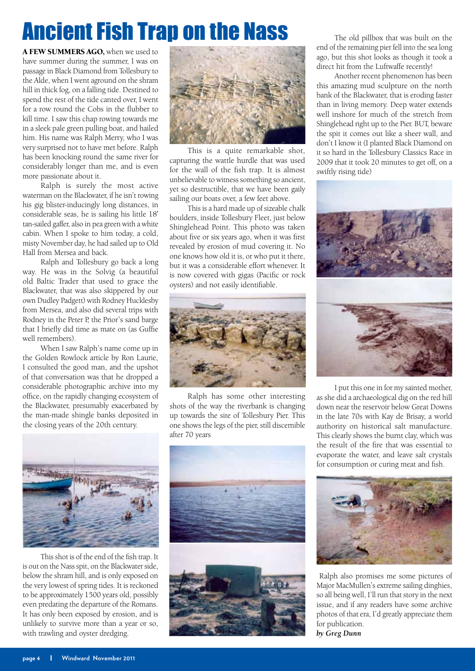### <span id="page-3-0"></span>Ancient Fish Trap on the Nass

A FEW SUMMERS AGO, when we used to have summer during the summer, I was on passage in Black Diamond from Tollesbury to the Alde, when I went aground on the shram hill in thick fog, on a falling tide. Destined to spend the rest of the tide canted over, I went for a row round the Cobs in the flubber to kill time. I saw this chap rowing towards me in a sleek pale green pulling boat, and hailed him. His name was Ralph Merry, who I was very surprised not to have met before. Ralph has been knocking round the same river for considerably longer than me, and is even more passionate about it.

Ralph is surely the most active waterman on the Blackwater, if he isn't rowing his gig blister-inducingly long distances, in considerable seas, he is sailing his little 18' tan-sailed gaffer, also in pea green with a white cabin. When I spoke to him today, a cold, misty November day, he had sailed up to Old Hall from Mersea and back.

Ralph and Tollesbury go back a long way. He was in the Solvig (a beautiful old Baltic Trader that used to grace the Blackwater, that was also skippered by our own Dudley Padgett) with Rodney Hucklesby from Mersea, and also did several trips with Rodney in the Peter P, the Prior's sand barge that I briefly did time as mate on (as Guffie well remembers).

When I saw Ralph's name come up in the Golden Rowlock article by Ron Laurie, I consulted the good man, and the upshot of that conversation was that he dropped a considerable photographic archive into my office, on the rapidly changing ecosystem of the Blackwater, presumably exacerbated by the man-made shingle banks deposited in the closing years of the 20th century.



This is a quite remarkable shot, capturing the wattle hurdle that was used for the wall of the fish trap. It is almost unbelievable to witness something so ancient, yet so destructible, that we have been gaily sailing our boats over, a few feet above.

This is a hard made up of sizeable chalk boulders, inside Tollesbury Fleet, just below Shinglehead Point. This photo was taken about five or six years ago, when it was first revealed by erosion of mud covering it. No one knows how old it is, or who put it there, but it was a considerable effort whenever. It is now covered with gigas (Pacific or rock oysters) and not easily identifiable.



Ralph has some other interesting shots of the way the riverbank is changing up towards the site of Tollesbury Pier. This one shows the legs of the pier, still discernible after 70 years



This shot is of the end of the fish trap. It is out on the Nass spit, on the Blackwater side, below the shram hill, and is only exposed on the very lowest of spring tides. It is reckoned to be approximately 1500 years old, possibly even predating the departure of the Romans. It has only been exposed by erosion, and is unlikely to survive more than a year or so, with trawling and oyster dredging.



The old pillbox that was built on the end of the remaining pier fell into the sea long ago, but this shot looks as though it took a direct hit from the Luftwaffe recently!

Another recent phenomenon has been this amazing mud sculpture on the north bank of the Blackwater, that is eroding faster than in living memory. Deep water extends well inshore for much of the stretch from Shinglehead right up to the Pier. BUT, beware the spit it comes out like a sheer wall, and don't I know it (I planted Black Diamond on it so hard in the Tollesbury Classics Race in 2009 that it took 20 minutes to get off, on a swiftly rising tide)



I put this one in for my sainted mother, as she did a archaeological dig on the red hill down near the reservoir below Great Downs in the late 70s with Kay de Brisay, a world authority on historical salt manufacture. This clearly shows the burnt clay, which was the result of the fire that was essential to evaporate the water, and leave salt crystals for consumption or curing meat and fish.



 Ralph also promises me some pictures of Major MacMullen's extreme sailing dinghies, so all being well, I'll run that story in the next issue, and if any readers have some archive photos of that era, I'd greatly appreciate them for publication.

*by Greg Dunn*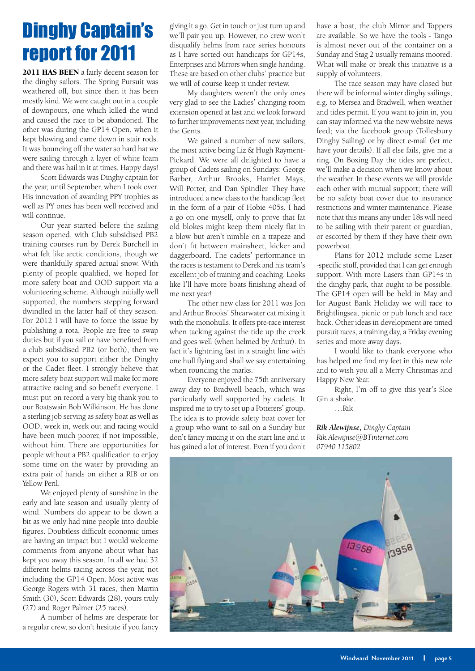### <span id="page-4-0"></span>Dinghy Captain's report for 2011

2011 HAS BEEN a fairly decent season for the dinghy sailors. The Spring Pursuit was weathered off, but since then it has been mostly kind. We were caught out in a couple of downpours, one which killed the wind and caused the race to be abandoned. The other was during the GP14 Open, when it kept blowing and came down in stair rods. It was bouncing off the water so hard hat we were sailing through a layer of white foam and there was hail in it at times. Happy days!

Scott Edwards was Dinghy captain for the year, until September, when I took over. His innovation of awarding PPY trophies as well as PY ones has been well received and will continue.

Our year started before the sailing season opened, with Club subsidised PB2 training courses run by Derek Burchell in what felt like arctic conditions, though we were thankfully spared actual snow. With plenty of people qualified, we hoped for more safety boat and OOD support via a volunteering scheme. Although initially well supported, the numbers stepping forward dwindled in the latter half of they season. For 2012 I will have to force the issue by publishing a rota. People are free to swap duties but if you sail or have benefited from a club subsidised PB2 (or both), then we expect you to support either the Dinghy or the Cadet fleet. I strongly believe that more safety boat support will make for more attractive racing and so benefit everyone. I must put on record a very big thank you to our Boatswain Bob Wilkinson. He has done a sterling job serving as safety boat as well as OOD, week in, week out and racing would have been much poorer, if not impossible, without him. There are opportunities for people without a PB2 qualification to enjoy some time on the water by providing an extra pair of hands on either a RIB or on Yellow Peril.

We enjoyed plenty of sunshine in the early and late season and usually plenty of wind. Numbers do appear to be down a bit as we only had nine people into double figures. Doubtless difficult economic times are having an impact but I would welcome comments from anyone about what has kept you away this season. In all we had 32 different helms racing across the year, not including the GP14 Open. Most active was George Rogers with 31 races, then Martin Smith (30), Scott Edwards (28), yours truly (27) and Roger Palmer (25 races).

A number of helms are desperate for a regular crew, so don't hesitate if you fancy giving it a go. Get in touch or just turn up and we'll pair you up. However, no crew won't disqualify helms from race series honours as I have sorted out handicaps for GP14s, Enterprises and Mirrors when single handing. These are based on other clubs' practice but we will of course keep it under review.

My daughters weren't the only ones very glad to see the Ladies' changing room extension opened at last and we look forward to further improvements next year, including the Gents.

We gained a number of new sailors, the most active being Liz & Hugh Rayment-Pickard. We were all delighted to have a group of Cadets sailing on Sundays: George Barber, Arthur Brooks, Harriet Mays, Will Porter, and Dan Spindler. They have introduced a new class to the handicap fleet in the form of a pair of Hobie 405s. I had a go on one myself, only to prove that fat old blokes might keep them nicely flat in a blow but aren't nimble on a trapeze and don't fit between mainsheet, kicker and daggerboard. The cadets' performance in the races is testament to Derek and his team's excellent job of training and coaching. Looks like I'll have more boats finishing ahead of me next year!

The other new class for 2011 was Jon and Arthur Brooks' Shearwater cat mixing it with the monohulls. It offers pre-race interest when tacking against the tide up the creek and goes well (when helmed by Arthur). In fact it's lightning fast in a straight line with one hull flying and shall we say entertaining when rounding the marks.

Everyone enjoyed the 75th anniversary away day to Bradwell beach, which was particularly well supported by cadets. It inspired me to try to set up a Potterers' group. The idea is to provide safety boat cover for a group who want to sail on a Sunday but don't fancy mixing it on the start line and it has gained a lot of interest. Even if you don't

have a boat, the club Mirror and Toppers are available. So we have the tools - Tango is almost never out of the container on a Sunday and Stag 2 usually remains moored. What will make or break this initiative is a supply of volunteers.

The race season may have closed but there will be informal winter dinghy sailings, e.g. to Mersea and Bradwell, when weather and tides permit. If you want to join in, you can stay informed via the new website news feed; via the facebook group (Tollesbury Dinghy Sailing) or by direct e-mail (let me have your details). If all else fails, give me a ring. On Boxing Day the tides are perfect, we'll make a decision when we know about the weather. In these events we will provide each other with mutual support; there will be no safety boat cover due to insurance restrictions and winter maintenance. Please note that this means any under 18s will need to be sailing with their parent or guardian, or escorted by them if they have their own powerboat.

Plans for 2012 include some Laser -specific stuff, provided that I can get enough support. With more Lasers than GP14s in the dinghy park, that ought to be possible. The GP14 open will be held in May and for August Bank Holiday we will race to Brightlingsea, picnic or pub lunch and race back. Other ideas in development are timed pursuit races, a training day, a Friday evening series and more away days.

I would like to thank everyone who has helped me find my feet in this new role and to wish you all a Merry Christmas and Happy New Year.

Right, I'm off to give this year's Sloe Gin a shake.

…Rik

*Rik Alewijnse, Dinghy Captain Rik.Alewijnse@BTinternet.com 07940 115802*

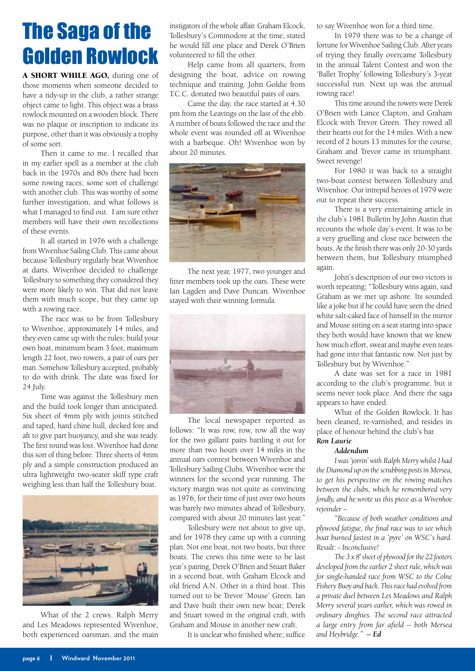### <span id="page-5-0"></span>The Saga of the Golden Rowlock

A SHORT WHILE AGO, during one of those moments when someone decided to have a tidy-up in the club, a rather strange object came to light. This object was a brass rowlock mounted on a wooden block. There was no plaque or inscription to indicate its purpose, other than it was obviously a trophy of some sort.

Then it came to me. I recalled that in my earlier spell as a member at the club back in the 1970s and 80s there had been some rowing races; some sort of challenge with another club. This was worthy of some further investigation, and what follows is what I managed to find out. I am sure other members will have their own recollections of these events.

It all started in 1976 with a challenge from Wivenhoe Sailing Club. This came about because Tollesbury regularly beat Wivenhoe at darts. Wivenhoe decided to challenge Tollesbury to something they considered they were more likely to win. That did not leave them with much scope, but they came up with a rowing race.

The race was to be from Tollesbury to Wivenhoe, approximately 14 miles, and they even came up with the rules; build your own boat, minimum beam 3 foot, maximum length 22 foot, two rowers, a pair of oars per man. Somehow Tollesbury accepted, probably to do with drink. The date was fixed for 24 July.

Time was against the Tollesbury men and the build took longer than anticipated. Six sheet of 4mm ply with joints stitched and taped, hard chine hull, decked fore and aft to give part buoyancy, and she was ready. The first round was lost. Wivenhoe had done this sort of thing before. Three sheets of 4mm ply and a simple construction produced an ultra lightweight two-seater skiff type craft weighing less than half the Tollesbury boat.



What of the 2 crews. Ralph Merry and Les Meadows represented Wivenhoe, both experienced oarsman, and the main

instigators of the whole affair. Graham Elcock, Tollesbury's Commodore at the time, stated he would fill one place and Derek O'Brien volunteered to fill the other.

Help came from all quarters, from designing the boat, advice on rowing technique and training. John Goldie from T.C.C. donated two beautiful pairs of oars.

Came the day, the race started at 4.30 pm from the Leavings on the last of the ebb. A number of boats followed the race and the whole event was rounded off at Wivenhoe with a barbeque. Oh! Wivenhoe won by about 20 minutes.



The next year, 1977, two younger and fitter members took up the oars. These were Ian Lagden and Dave Duncan. Wivenhoe stayed with their winning formula.



The local newspaper reported as follows: "It was row, row, row all the way for the two gallant pairs battling it out for more than two hours over 14 miles in the annual oars contest between Wivenhoe and Tollesbury Sailing Clubs. Wivenhoe were the winners for the second year running. The victory margin was not quite as convincing as 1976, for their time of just over two hours was barely two minutes ahead of Tollesbury, compared with about 20 minutes last year."

Tollesbury were not about to give up, and for 1978 they came up with a cunning plan. Not one boat, not two boats, but three boats. The crews this time were to be last year's pairing, Derek O'Brien and Stuart Baker in a second boat, with Graham Elcock and old friend A.N. Other in a third boat. This turned out to be Trevor 'Mouse' Green. Ian and Dave built their own new boat; Derek and Stuart rowed in the original craft, with Graham and Mouse in another new craft.

It is unclear who finished where; suffice

to say Wivenhoe won for a third time.

In 1979 there was to be a change of fortune for Wivenhoe Sailing Club. After years of trying they finally overcame Tollesbury in the annual Talent Contest and won the 'Ballet Trophy' following Tollesbury's 3-year successful run. Next up was the annual rowing race!

This time around the rowers were Derek O'Brien with Lance Clapton, and Graham Elcock with Trevor Green. They rowed all their hearts out for the 14 miles. With a new record of 2 hours 13 minutes for the course, Graham and Trevor came in triumphant. Sweet revenge!

For 1980 it was back to a straight two-boat contest between Tollesbury and Wivenhoe. Our intrepid heroes of 1979 were out to repeat their success.

There is a very entertaining article in the club's 1981 Bulletin by John Austin that recounts the whole day's event. It was to be a very gruelling and close race between the boats. At the finish there was only 20-30 yards between them, but Tollesbury triumphed again.

John's description of our two victors is worth repeating; "Tollesbury wins again, said Graham as we met up ashore. Its sounded like a joke but if he could have seen the dried white salt-caked face of himself in the mirror and Mouse sitting on a seat staring into space they both would have known that we knew how much effort, sweat and maybe even tears had gone into that fantastic row. Not just by Tollesbury but by Wivenhoe."

A date was set for a race in 1981 according to the club's programme, but it seems never took place. And there the saga appears to have ended.

What of the Golden Rowlock. It has been cleaned, re-varnished, and resides in place of honour behind the club's bar.

### *Ron Laurie*

### *Addendum*

*I was 'jorrin' with Ralph Merry whilst I had the Diamond up on the scrubbing posts in Mersea, to get his perspective on the rowing matches between the clubs, which he remembered very fondly, and he wrote us this piece as a Wivenhoe rejoinder –* 

*"Because of both weather conditions and plywood fatigue, the final race was to see which boat burned fastest in a 'pyre' on WSC's hard. Result: - Inconclusive!*

*The 3 x 8' sheet of plywood for the 22 footers developed from the earlier 2 sheet rule, which was for single-handed race from WSC to the Colne Fishery Buoy and back. This race had evolved from a private duel between Les Meadows and Ralph Merry several years earlier, which was rowed in ordinary dinghies. The second race attracted a large entry from far afield – both Mersea and Heybridge." – Ed*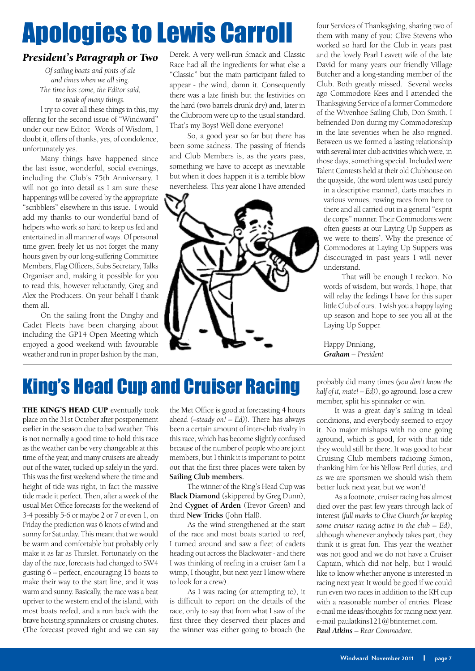## <span id="page-6-0"></span>Apologies to Lewis Carroll

### *President's Paragraph or Two*

*Of sailing boats and pints of ale and times when we all sing. The time has come, the Editor said, to speak of many things.*

l try to cover all these things in this, my offering for the second issue of "Windward" under our new Editor. Words of Wisdom, I doubt it, offers of thanks, yes, of condolence, unfortunately yes.

Many things have happened since the last issue, wonderful, social evenings, including the Club's 75th Anniversary. I will not go into detail as I am sure these happenings will be covered by the appropriate "scribblers" elsewhere in this issue. I would add my thanks to our wonderful band of helpers who work so hard to keep us fed and entertained in all manner of ways. Of personal time given freely let us not forget the many hours given by our long-suffering Committee Members, Flag Officers, Subs Secretary, Talks Organiser and, making it possible for you to read this, however reluctantly, Greg and Alex the Producers. On your behalf I thank them all.

On the sailing front the Dinghy and Cadet Fleets have been charging about including the GP14 Open Meeting which enjoyed a good weekend with favourable weather and run in proper fashion by the man,

Derek. A very well-run Smack and Classic Race had all the ingredients for what else a "Classic" but the main participant failed to appear - the wind, damn it. Consequently there was a late finish but the festivities on the hard (two barrels drunk dry) and, later in the Clubroom were up to the usual standard. That's my Boys! Well done everyone!

So, a good year so far but there has been some sadness. The passing of friends and Club Members is, as the years pass, something we have to accept as inevitable but when it does happen it is a terrible blow nevertheless. This year alone I have attended



four Services of Thanksgiving, sharing two of them with many of you; Clive Stevens who worked so hard for the Club in years past and the lovely Pearl Leavett wife of the late David for many years our friendly Village Butcher and a long-standing member of the Club. Both greatly missed. Several weeks ago Commodore Kees and I attended the Thanksgiving Service of a former Commodore of the Wivenhoe Sailing Club, Don Smith. I befriended Don during my Commodoreship in the late seventies when he also reigned. Between us we formed a lasting relationship with several inter club activities which were, in those days, something special. Included were Talent Contests held at their old Clubhouse on the quayside, (the word talent was used purely

in a descriptive manner), darts matches in various venues, rowing races from here to there and all carried out in a general "esprit de corps" manner. Their Commodores were often guests at our Laying Up Suppers as we were to theirs'. Why the presence of Commodores at Laying Up Suppers was discouraged in past years I will never understand.

That will be enough I reckon. No words of wisdom, but words, I hope, that will relay the feelings I have for this super little Club of ours. I wish you a happy laying up season and hope to see you all at the Laying Up Supper.

Happy Drinking, *Graham – President*

### King's Head Cup and Cruiser Racing

THE KING'S HEAD CUP eventually took place on the 31st October after postponement earlier in the season due to bad weather. This is not normally a good time to hold this race as the weather can be very changeable at this time of the year, and many cruisers are already out of the water, tucked up safely in the yard. This was the first weekend where the time and height of tide was right, in fact the massive tide made it perfect. Then, after a week of the usual Met Office forecasts for the weekend of 3-4 possibly 5-6 or maybe 2 or 7 or even 1, on Friday the prediction was 6 knots of wind and sunny for Saturday. This meant that we would be warm and comfortable but probably only make it as far as Thirslet. Fortunately on the day of the race, forecasts had changed to SW4 gusting 6 – perfect, encouraging 15 boats to make their way to the start line, and it was warm and sunny. Basically, the race was a beat upriver to the western end of the island, with most boats reefed, and a run back with the brave hoisting spinnakers or cruising chutes. (The forecast proved right and we can say the Met Office is good at forecasting 4 hours ahead *(–steady on! – Ed)*). There has always been a certain amount of inter-club rivalry in this race, which has become slightly confused because of the number of people who are joint members, but I think it is important to point out that the first three places were taken by **Sailing Club members.**

The winner of the King's Head Cup was **Black Diamond** (skippered by Greg Dunn), 2nd **Cygnet of Arden** (Trevor Green) and third **New Tricks** (John Hall).

As the wind strengthened at the start of the race and most boats started to reef, I turned around and saw a fleet of cadets heading out across the Blackwater - and there I was thinking of reefing in a cruiser (am I a wimp, I thought, but next year I know where to look for a crew).

As I was racing (or attempting to), it is difficult to report on the details of the race, only to say that from what I saw of the first three they deserved their places and the winner was either going to broach (he

probably did many times *(you don't know the half of it, mate! – Ed)*), go aground, lose a crew member, split his spinnaker or win.

It was a great day's sailing in ideal conditions, and everybody seemed to enjoy it. No major mishaps with no one going aground, which is good, for with that tide they would still be there. It was good to hear Cruising Club members radioing Simon, thanking him for his Yellow Peril duties, and as we are sportsmen we should wish them better luck next year, but we won't!

As a footnote, cruiser racing has almost died over the past few years through lack of interest *(full marks to Clive Church for keeping some cruiser racing active in the club – Ed)*, although whenever anybody takes part, they think it is great fun. This year the weather was not good and we do not have a Cruiser Captain, which did not help, but I would like to know whether anyone is interested in racing next year. It would be good if we could run even two races in addition to the KH cup with a reasonable number of entries. Please e-mail me ideas/thoughts for racing next year. e-mail paulatkins121@btinternet.com. *Paul Atkins – Rear Commodore.*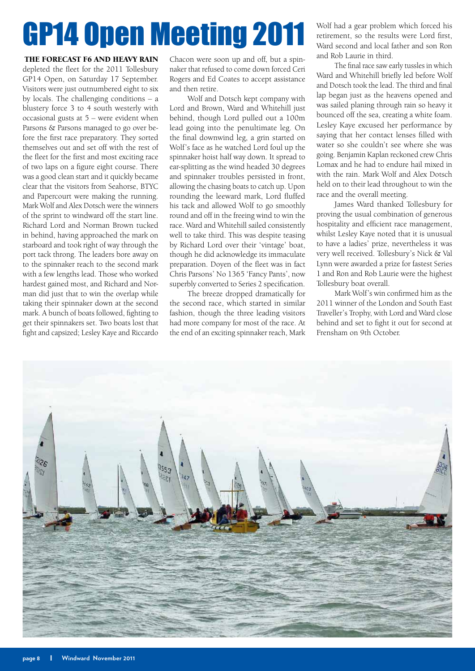## <span id="page-7-0"></span>GP14 Open Meeting 2011

#### THE FORECAST F6 AND HEAVY RAIN

depleted the fleet for the 2011 Tollesbury GP14 Open, on Saturday 17 September. Visitors were just outnumbered eight to six by locals. The challenging conditions – a blustery force 3 to 4 south westerly with occasional gusts at 5 – were evident when Parsons & Parsons managed to go over before the first race preparatory. They sorted themselves out and set off with the rest of the fleet for the first and most exciting race of two laps on a figure eight course. There was a good clean start and it quickly became clear that the visitors from Seahorse, BTYC and Papercourt were making the running. Mark Wolf and Alex Dotsch were the winners of the sprint to windward off the start line. Richard Lord and Norman Brown tucked in behind, having approached the mark on starboard and took right of way through the port tack throng. The leaders bore away on to the spinnaker reach to the second mark with a few lengths lead. Those who worked hardest gained most, and Richard and Norman did just that to win the overlap while taking their spinnaker down at the second mark. A bunch of boats followed, fighting to get their spinnakers set. Two boats lost that fight and capsized; Lesley Kaye and Riccardo

Chacon were soon up and off, but a spinnaker that refused to come down forced Ceri Rogers and Ed Coates to accept assistance and then retire.

Wolf and Dotsch kept company with Lord and Brown, Ward and Whitehill just behind, though Lord pulled out a 100m lead going into the penultimate leg. On the final downwind leg, a grin started on Wolf's face as he watched Lord foul up the spinnaker hoist half way down. It spread to ear-splitting as the wind headed 30 degrees and spinnaker troubles persisted in front, allowing the chasing boats to catch up. Upon rounding the leeward mark, Lord fluffed his tack and allowed Wolf to go smoothly round and off in the freeing wind to win the race. Ward and Whitehill sailed consistently well to take third. This was despite teasing by Richard Lord over their 'vintage' boat, though he did acknowledge its immaculate preparation. Doyen of the fleet was in fact Chris Parsons' No 1365 'Fancy Pants', now superbly converted to Series 2 specification.

The breeze dropped dramatically for the second race, which started in similar fashion, though the three leading visitors had more company for most of the race. At the end of an exciting spinnaker reach, Mark

Wolf had a gear problem which forced his retirement, so the results were Lord first, Ward second and local father and son Ron and Rob Laurie in third.

The final race saw early tussles in which Ward and Whitehill briefly led before Wolf and Dotsch took the lead. The third and final lap began just as the heavens opened and was sailed planing through rain so heavy it bounced off the sea, creating a white foam. Lesley Kaye excused her performance by saying that her contact lenses filled with water so she couldn't see where she was going. Benjamin Kaplan reckoned crew Chris Lomax and he had to endure hail mixed in with the rain. Mark Wolf and Alex Dotsch held on to their lead throughout to win the race and the overall meeting.

James Ward thanked Tollesbury for proving the usual combination of generous hospitality and efficient race management, whilst Lesley Kaye noted that it is unusual to have a ladies' prize, nevertheless it was very well received. Tollesbury's Nick & Val Lynn were awarded a prize for fastest Series 1 and Ron and Rob Laurie were the highest Tollesbury boat overall.

Mark Wolf's win confirmed him as the 2011 winner of the London and South East Traveller's Trophy, with Lord and Ward close behind and set to fight it out for second at Frensham on 9th October.

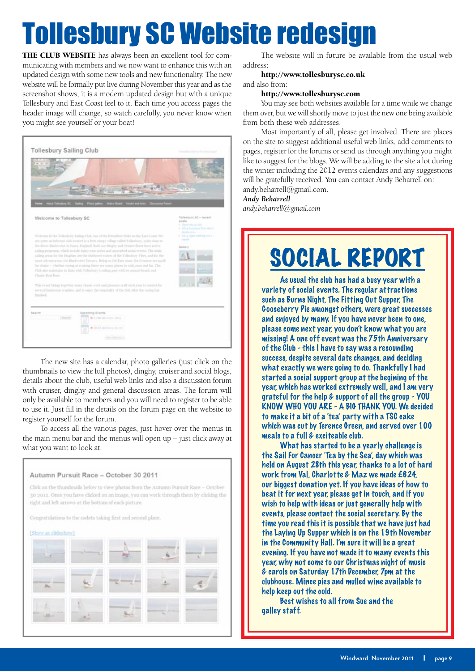## <span id="page-8-0"></span>Tollesbury SC Website redesign

THE CLUB WEBSITE has always been an excellent tool for communicating with members and we now want to enhance this with an updated design with some new tools and new functionality. The new website will be formally put live during November this year and as the screenshot shows, it is a modern updated design but with a unique Tollesbury and East Coast feel to it. Each time you access pages the header image will change, so watch carefully, you never know when you might see yourself or your boat!



The new site has a calendar, photo galleries (just click on the thumbnails to view the full photos), dinghy, cruiser and social blogs, details about the club, useful web links and also a discussion forum with cruiser, dinghy and general discussion areas. The forum will only be available to members and you will need to register to be able to use it. Just fill in the details on the forum page on the website to register yourself for the forum.

To access all the various pages, just hover over the menus in the main menu bar and the menus will open up – just click away at what you want to look at.



The website will in future be available from the usual web address:

#### http://www.tollesburysc.co.uk

### and also from:

#### http://www.tollesburysc.com

You may see both websites available for a time while we change them over, but we will shortly move to just the new one being available from both these web addresses.

Most importantly of all, please get involved. There are places on the site to suggest additional useful web links, add comments to pages, register for the forums or send us through anything you might like to suggest for the blogs. We will be adding to the site a lot during the winter including the 2012 events calendars and any suggestions will be gratefully received. You can contact Andy Beharrell on: andy.beharrell@gmail.com.

#### *Andy Beharrell*

*andy.beharrell@gmail.com*

## SOCIAL REPORT

As usual the club has had a busy year with a variety of social events. The regular attractions such as Burns Night, The Fitting Out Supper, The Gooseberry Pie amongst others, were great successes and enjoyed by many. If you have never been to one, please come next year, you don't know what you are missing! A one off event was the 75th Anniversary of the Club - this I have to say was a resounding success, despite several date changes, and deciding what exactly we were going to do. Thankfully I had started a social support group at the begining of the year, which has worked extremely well, and I am very grateful for the help & support of all the group - YOU KNOW WHO YOU ARE - A BIG THANK YOU. We decided to make it a bit of a 'tea' party with a TSC cake which was cut by Terence Green, and served over 100 meals to a full & exciteable club.

What has started to be a yearly challenge is the Sail For Cancer 'Tea by the Sea', day which was held on August 28th this year, thanks to a lot of hard work from Val, Charlotte & Maz we made £624, our biggest donation yet. If you have ideas of how to beat it for next year, please get in touch, and if you wish to help with ideas or just generally help with events, please contact the social secretary. By the time you read this it is possible that we have just had the Laying Up Supper which is on the 19th November in the Community Hall. I'm sure it will be a great evening. If you have not made it to many events this year, why not come to our Christmas night of music & carols on Saturday 17th December, 7pm at the clubhouse. Mince pies and mulled wine available to help keep out the cold.

Best wishes to all from Sue and the galley staff.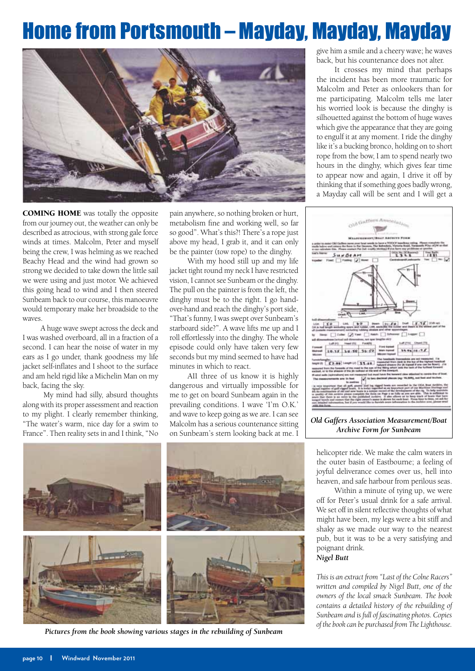### <span id="page-9-0"></span>Home from Portsmouth – Mayday, Mayday, Mayday



COMING HOME was totally the opposite from our journey out, the weather can only be described as atrocious, with strong gale force winds at times. Malcolm, Peter and myself being the crew, I was helming as we reached Beachy Head and the wind had grown so strong we decided to take down the little sail we were using and just motor. We achieved this going head to wind and I then steered Sunbeam back to our course, this manoeuvre would temporary make her broadside to the waves.

A huge wave swept across the deck and I was washed overboard, all in a fraction of a second. I can hear the noise of water in my ears as I go under, thank goodness my life jacket self-inflates and I shoot to the surface and am held rigid like a Michelin Man on my back, facing the sky.

My mind had silly, absurd thoughts along with its proper assessment and reaction to my plight. I clearly remember thinking, "The water's warm, nice day for a swim to France". Then reality sets in and I think, "No

pain anywhere, so nothing broken or hurt, metabolism fine and working well, so far so good". What's this?! There's a rope just above my head, I grab it, and it can only be the painter (tow rope) to the dinghy.

With my hood still up and my life jacket tight round my neck I have restricted vision, I cannot see Sunbeam or the dinghy. The pull on the painter is from the left, the dinghy must be to the right. I go handover-hand and reach the dinghy's port side, "That's funny, I was swept over Sunbeam's starboard side?". A wave lifts me up and I roll effortlessly into the dinghy. The whole episode could only have taken very few seconds but my mind seemed to have had minutes in which to react.

AII three of us know it is highly dangerous and virtually impossible for me to get on board Sunbeam again in the prevailing conditions. I wave 'I'm O.K.' and wave to keep going as we are. I can see Malcolm has a serious countenance sitting on Sunbeam's stern looking back at me. I give him a smile and a cheery wave; he waves back, but his countenance does not alter.

It crosses my mind that perhaps the incident has been more traumatic for Malcolm and Peter as onlookers than for me participating. Malcolm tells me later his worried look is because the dinghy is silhouetted against the bottom of huge waves which give the appearance that they are going to engulf it at any moment. I ride the dinghy like it's a bucking bronco, holding on to short rope from the bow, I am to spend nearly two hours in the dinghy, which gives fear time to appear now and again, I drive it off by thinking that if something goes badly wrong, a Mayday call will be sent and I will get a



*Old Gaffers Association Measurement/Boat Archive Form for Sunbeam*



helicopter ride. We make the calm waters in the outer basin of Eastbourne; a feeling of joyful deliverance comes over us, hell into heaven, and safe harbour from perilous seas.

Within a minute of tying up, we were off for Peter's usual drink for a safe arrival. We set off in silent reflective thoughts of what might have been, my legs were a bit stiff and shaky as we made our way to the nearest pub, but it was to be a very satisfying and poignant drink. *Nigel Butt*

*This is an extract from "Last of the Colne Racers" written and compiled by Nigel Butt, one of the owners of the local smack Sunbeam. The book contains a detailed history of the rebuilding of Sunbeam and is full of fascinating photos. Copies*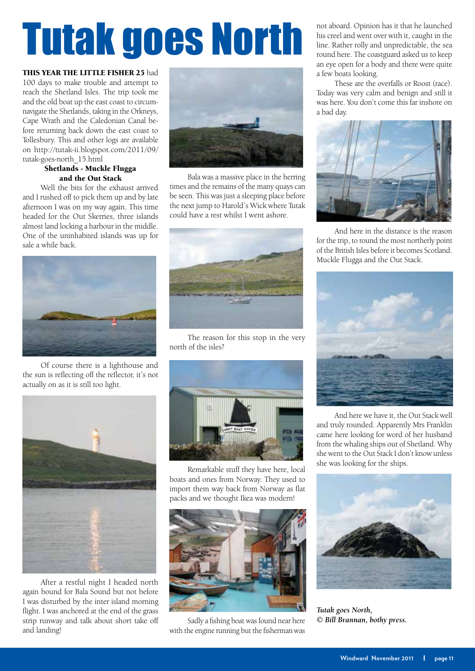# <span id="page-10-0"></span>Tutak goes North

THIS YEAR THE LITTLE FISHER 25 had

100 days to make trouble and attempt to reach the Shetland Isles. The trip took me and the old boat up the east coast to circumnavigate the Shetlands, taking in the Orkneys, Cape Wrath and the Caledonian Canal before returning back down the east coast to Tollesbury. This and other logs are available on http://tutak-ii.blogspot.com/2011/09/ tutak-goes-north\_15.html

### Shetlands - Muckle Flugga and the Out Stack

Well the bits for the exhaust arrived and I rushed off to pick them up and by late afternoon I was on my way again. This time headed for the Out Skerries, three islands almost land locking a harbour in the middle. One of the uninhabited islands was up for sale a while back.



Of course there is a lighthouse and the sun is reflecting off the reflector, it's not actually on as it is still too light.



After a restful night I headed north again bound for Bala Sound but not before I was disturbed by the inter island morning flight. I was anchored at the end of the grass strip runway and talk about short take off and landing!



Bala was a massive place in the herring times and the remains of the many quays can be seen. This was just a sleeping place before the next jump to Harold's Wick where Tutak could have a rest whilst I went ashore.



The reason for this stop in the very north of the isles?



Remarkable stuff they have here, local boats and ones from Norway. They used to import them way back from Norway as flat packs and we thought Ikea was modern!



Sadly a fishing boat was found near here with the engine running but the fisherman was not aboard. Opinion has it that he launched his creel and went over with it, caught in the line. Rather rolly and unpredictable, the sea round here. The coastguard asked us to keep an eye open for a body and there were quite a few boats looking.

These are the overfalls or Roost (race). Today was very calm and benign and still it was here. You don't come this far inshore on a bad day.



And here in the distance is the reason for the trip, to round the most northerly point of the British Isles before it becomes Scotland. Muckle Flugga and the Out Stack.



And here we have it, the Out Stack well and truly rounded. Apparently Mrs Franklin came here looking for word of her husband from the whaling ships out of Shetland. Why she went to the Out Stack I don't know unless she was looking for the ships.



*Tutak goes North, © Bill Brannan, bothy press.*